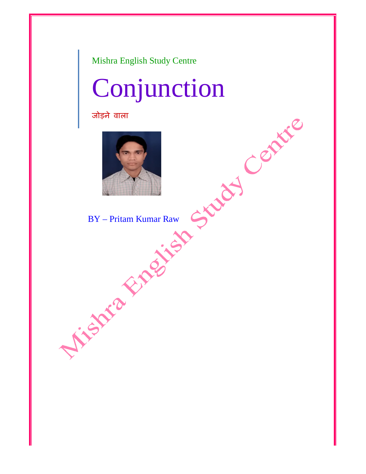Mishra English Study Centre

# Conjunction

जोड़ने वाला



BY – Pritam Kumar Raw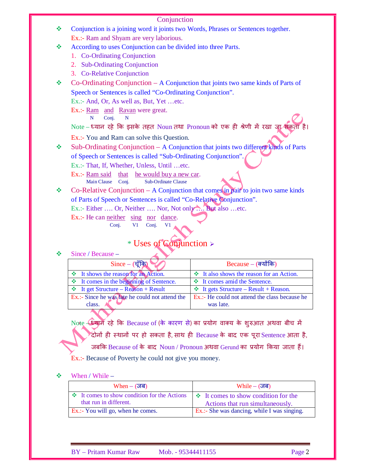Conjunction is a joining word it joints two Words, Phrases or Sentences together. Ex.:- Ram and Shyam are very laborious.

According to uses Conjunction can be divided into three Parts.

- 1. Co-Ordinating Conjunction
- 2. Sub-Ordinating Conjunction
- 3. Co-Relative Conjunction
- Co-Ordinating Conjunction A Conjunction that joints two same kinds of Parts of Speech or Sentences is called "Co-Ordinating Conjunction".

Ex.:- And, Or, As well as, But, Yet …etc.

Ex.:- Ram and Ravan were great.

N Conj. N

Note – ध्यान रहे कि इसके तहत Noun तथा Pronoun को एक ही श्रेणी में रखा जा सकता

Ex.:- You and Ram can solve this Question.

 $\bullet$  Sub-Ordinating Conjunction – A Conjunction that joints two different kinds of Parts of Speech or Sentences is called "Sub-Ordinating Conjunction". Ex.:- That, If, Whether, Unless, Until …etc.

Ex.:- Ram said that he would buy a new car.

Main Clause Conj. Sub-Ordinate Clause

 $\bullet$  Co-Relative Conjunction – A Conjunction that comes in pair to join two same kinds of Parts of Speech or Sentences is called "Co-Relative Conjunction".

Ex.:- Either …. Or, Neither …. Nor, Not only …. But also …etc.

Ex.:- He can neither sing nor dance.

Conj. V1 Conj. V1

# \* Uses of Conjunction >

## $\div$  Since / Because –

| $Because - (a$ योंकि                           |
|------------------------------------------------|
| $\div$ It also shows the reason for an Action. |
| ❖ It comes amid the Sentence.                  |
| $\div$ It gets Structure – Result + Reason.    |
| Ex.:- He could not attend the class because he |
| was late.                                      |
|                                                |

Note – आर्म रहे कि Because of (के कारण से) का प्रयोग वाक्य के शुरुआत अथवा बीच में दोनों ही स्थानों पर हो सकता है, साथ ही Because के बाद एक पूरा $\,$ Sentence आता है, जबकि Because of के बाद Noun / Pronoun अथवा Gerund का प्रयोग किया जाता हैं। Ex.:- Because of Poverty he could not give you money.

## When / While –

| $When - (\overline{d}$                                                      | $While - (35)$                                                                |
|-----------------------------------------------------------------------------|-------------------------------------------------------------------------------|
| $\div$ It comes to show condition for the Actions<br>that run in different. | $\div$ It comes to show condition for the<br>Actions that run simultaneously. |
| <b>Ex.:-</b> You will go, when he comes.                                    | Ex.:- She was dancing, while I was singing.                                   |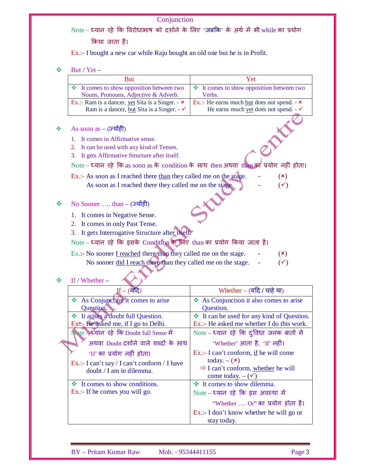$\mathrm{Note-}\varepsilon$ यान रहे कि विरोधाभाष को दर्शाने के लिए 'जबकि' के अर्थ में भी while का प्रयोग

किया जाता हैं।

Ex.:- I bought a new car while Raju bought an old one but he is in Profit.

 $\div$  But / Yet

| DUL/ICL-                                                                                                                      |                                                          |
|-------------------------------------------------------------------------------------------------------------------------------|----------------------------------------------------------|
| <b>But</b>                                                                                                                    | Yet                                                      |
| It comes to show opposition between two<br>❖                                                                                  | It comes to show opposition between two<br>❖             |
| Nouns, Pronouns, Adjective & Adverb.                                                                                          | Verbs.                                                   |
| Ex.:- Ram is a dancer, yet Sita is a Singer. - $\star$                                                                        | Ex.:- He earns much <u>but</u> does not spend. - $\star$ |
| Ram is a dancer, but Sita is a Singer. - $\checkmark$                                                                         | He earns much yet does not spend. $-\checkmark$          |
| As soon as $ (\overrightarrow{\sigma}$ योंही                                                                                  |                                                          |
| It comes in Affirmative sense.                                                                                                |                                                          |
| It can be used with any kind of Tenses.<br>2.                                                                                 |                                                          |
| It gets Affirmative Structure after itself.<br>3.                                                                             |                                                          |
| Note – ध्यान रहे कि as soon as के condition के साथ then अथवा than का प्रयोग नहीं होता।                                        |                                                          |
| Ex.:- As soon as I reached there than they called me on the stage.<br>As soon as I reached there they called me on the stage. | $(\mathbf{x})$<br>$(\checkmark)$                         |
| No Sooner  than $ (\overrightarrow{\sigma} \overrightarrow{d} \overrightarrow{\sigma})$                                       |                                                          |
| It comes in Negative Sense.                                                                                                   |                                                          |
| It comes in only Past Tense.<br>2.                                                                                            |                                                          |
| 3. It gets Interrogative Structure after itself.                                                                              |                                                          |
| Note - ध्यान रहे कि इसके Condition के लिए than का प्रयोग किया जाता है।                                                        |                                                          |
| Ex.:- No sooner I reached there than they called me on the stage.                                                             | $(\mathbf{x})$                                           |
| No sooner did I reach there than they called me on the stage.                                                                 | $(\checkmark)$                                           |

# $\cdot$  If / Whether –

| $\boldsymbol{\mathrm{If}} - \boldsymbol{\mathrm{(}\mathrm{u}\mathrm{r}}$ ट                                                      | Whether – $(\overline{u}$ दि / चाहे या)                                                                                                    |
|---------------------------------------------------------------------------------------------------------------------------------|--------------------------------------------------------------------------------------------------------------------------------------------|
| As Conjunction it comes to arise<br>Question.                                                                                   | ❖ As Conjunction it also comes to arise<br><b>Question.</b>                                                                                |
| <b>*</b> It arises a doubt full Question.<br>$Ex\$ : He asked me, if I go to Delhi.<br>Note > ध्यान रहे कि Doubt full Sense में | <b>↓</b> It can be used for any kind of Question.<br>Ex.:- He asked me whether I do this work.<br>Note - ध्यान रहे कि दुविधा जनक बातों में |
| अथवा Doubt दर्शाने वाले शब्दों के साथ<br>'If' का प्रयोग नहीं होता।                                                              | 'Whether' आता है, 'If' नहीं।<br>Ex.:- I can't conform, if he will come                                                                     |
| Ex.:- I can't say / I can't conform / I have<br>doubt / I am in dilemma.                                                        | today. $-$ ( $\star$ )<br>$\Rightarrow$ I can't conform, whether he will<br>come today. $-(\checkmark)$                                    |
| $\cdot \cdot$ It comes to show conditions.<br>Ex.:- If he comes you will go.                                                    | ❖ It comes to show dilemma.<br>Note – ध्यान रहे कि इस अवस्था में                                                                           |
|                                                                                                                                 | "Whether  Or" का प्रयोग होता है।<br>Ex.:- I don't know whether he will go or<br>stay today.                                                |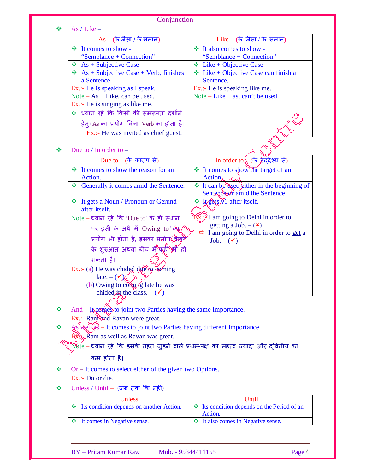|    | Conjunction                                                                      |                                                                     |
|----|----------------------------------------------------------------------------------|---------------------------------------------------------------------|
| A. | As / Like $-$                                                                    |                                                                     |
|    | $As - ($ के जैसा / के समान)                                                      | Like – (के जैसा / के समान)                                          |
|    | ❖ It comes to show -                                                             | ❖ It also comes to show -                                           |
|    | "Semblance + Connection"                                                         | "Semblance + Connection"                                            |
|    | $\triangleleft$ As + Subjective Case                                             | $\triangleleft$ Like + Objective Case                               |
|    | $\triangleleft$ As + Subjective Case + Verb, finishes                            | $\triangleleft$ Like + Objective Case can finish a                  |
|    | a Sentence.                                                                      | Sentence.                                                           |
|    | Ex.:- He is speaking as I speak.                                                 | Ex.:- He is speaking like me.                                       |
|    | Note $- As + Like$ , can be used.<br>Ex.:- He is singing as like me.             | Note – Like + as, can't be used.                                    |
|    | * ध्यान रहे कि किसी की समरूपता दर्शाने                                           |                                                                     |
|    |                                                                                  |                                                                     |
|    | हेतुः As का प्रयोग बिना Verb का होता है।                                         |                                                                     |
|    | Ex.:- He was invited as chief guest.                                             |                                                                     |
| ❖  | Due to $/$ In order to $-$                                                       |                                                                     |
|    | Due to – (के कारण से)                                                            |                                                                     |
|    |                                                                                  | In order to $($ के ठूददेश्य से)                                     |
|    | <b>↓</b> It comes to show the reason for an<br>Action.                           | ❖ It comes to show the target of an<br>$Action_{\&}$                |
|    | Generally it comes amid the Sentence.                                            | ❖ It can be used either in the beginning of                         |
|    |                                                                                  | Sentence or amid the Sentence.                                      |
|    | ❖ It gets a Noun / Pronoun or Gerund                                             | $\cdot \cdot \cdot$ Legers $N1$ after itself.                       |
|    | after itself.                                                                    |                                                                     |
|    | Note – ध्यान रहे कि 'Due to' के ही स्थान                                         | $Ex.$ : I am going to Delhi in order to                             |
|    | पर इसी के अर्थ में 'Owing to' का                                                 | getting a Job. $-$ ( $\star$ )                                      |
|    | प्रयोग भी होता है, इसका प्रयोग विक्रय                                            | $\Rightarrow$ I am going to Delhi in order to get a<br>$Job. - (v)$ |
|    | के शुरुआत अथवा बीच मे <del>ं क</del> हीं भी हो                                   |                                                                     |
|    | सकता है।                                                                         |                                                                     |
|    | Ex.:- (a) He was chided due to coming                                            |                                                                     |
|    | late. $-(\sqrt{\mathcal{L}})$                                                    |                                                                     |
|    | (b) Owing to coming late he was                                                  |                                                                     |
|    | chided in the class. $-(\checkmark)$                                             |                                                                     |
|    |                                                                                  |                                                                     |
| ❖  | And - It comes to joint two Parties having the same Importance.                  |                                                                     |
|    | Ex.:- Ram and Ravan were great.                                                  |                                                                     |
| ❖  | As well as - It comes to joint two Parties having different Importance.          |                                                                     |
|    | <b>Ex.</b> Ram as well as Ravan was great.                                       |                                                                     |
|    | Note – ध्यान रहे कि इसके तहत जुड़ने वाले प्रथम-पक्ष का महत्व ज्यादा और दवितीय का |                                                                     |
|    | कम होता है।                                                                      |                                                                     |
| ❖  | $Or - It comes to select either of the given two Options.$                       |                                                                     |
|    | Ex.:- Do or die.                                                                 |                                                                     |
| ❖  | $Unless / Until - ( जब तक कि नहीं)$                                              |                                                                     |
|    |                                                                                  |                                                                     |
|    | Unless<br>Its condition depends on another Action.<br>❖                          | Until<br>State Its condition depends on the Period of an            |
|    |                                                                                  | Action.                                                             |
|    | It comes in Negative sense.<br>❖                                                 | <b>*</b> It also comes in Negative sense.                           |

BY – Pritam Kumar Raw Mob. - 95344411155 Page 4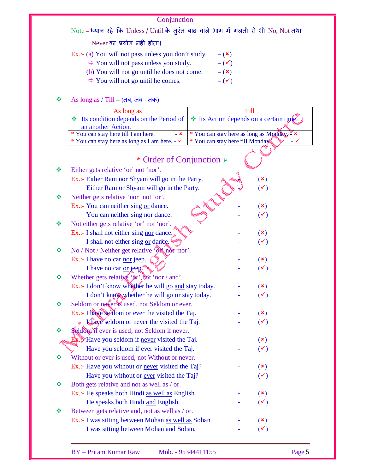Note – ध्यान रहे कि Unless / Until के तुरंत बाद वाले भाग में गलती से भी No, Not तथा

Never का प्रयोग नहीं होता।

Ex.:- (a) You will not pass unless you <u>don't</u> study.  $-(\star)$ 

- $\Rightarrow$  You will not pass unless you study.  $-(\checkmark)$
- (b) You will not go until he <u>does not</u> come.  $-$  ( $\star$ )
- $\Rightarrow$  You will not go until he comes.  $-$  ( $\checkmark$ )

## $\clubsuit$  As long as / Till – (तब, जब - तक)

| As long as                                                                                           |                                                               |
|------------------------------------------------------------------------------------------------------|---------------------------------------------------------------|
| $\cdot$ Its condition depends on the Period of $ \cdot\rangle$ Its Action depends on a certain time. |                                                               |
| an another Action.                                                                                   |                                                               |
| * You can stay here till I am here.<br>$- x$                                                         | * You can stay here as long as $\overline{\text{Monday}}^2$ × |
| * You can stay here as long as I am here. $-\checkmark$                                              | * You can stay here till Monday                               |

|   | * Order of Conjunction $\triangleright$               |                |
|---|-------------------------------------------------------|----------------|
| ❖ | Either gets relative 'or' not 'nor'.                  |                |
|   | Ex.:- Either Ram nor Shyam will go in the Party.      | $(\star)$      |
|   | Either Ram or Shyam will go in the Party.             | $(\checkmark)$ |
| 榛 | Neither gets relative 'nor' not 'or'.                 |                |
|   | Ex.:- You can neither sing or dance.                  | $(\mathbf{x})$ |
|   | You can neither sing nor dance.                       | $(\checkmark)$ |
| ❖ | Not either gets relative 'or' not 'nor'.              |                |
|   | Ex.:- I shall not either sing nor dance.              | $(\mathbf{x})$ |
|   | I shall not either sing $or$ dance.                   | $(\checkmark)$ |
| ❖ | No / Not / Neither get relative 'or' not 'nor'.       |                |
|   | Ex.:- I have no car <u>nor</u> jeep.                  | $(\mathbf{x})$ |
|   | I have no car or jeep.                                | $(\checkmark)$ |
| ÷ | Whether gets relative ' $\alpha$ ' not 'nor / and'.   |                |
|   | Ex.:- I don't know whether he will go and stay today. | $(\mathbf{x})$ |
|   | I don't know whether he will go or stay today.        | $(\checkmark)$ |
| ❖ | Seldom or never is used, not Seldom or ever.          |                |
|   | Ex.:- I have seldom or ever the visited the Taj.      | $(\mathbf{x})$ |
|   | Khaye seldom or never the visited the Taj.            | $(\checkmark)$ |
| ÷ | Seldom if ever is used, not Seldom if never.          |                |
|   | Ex Have you seldom if never visited the Taj.          | $(\mathbf{x})$ |
|   | Have you seldom if ever visited the Taj.              | $(\checkmark)$ |
| ❖ | Without or ever is used, not Without or never.        |                |
|   | Ex.:- Have you without or never visited the Taj?      | $(\mathbf{x})$ |
|   | Have you without or <u>ever</u> visited the Taj?      | $(\checkmark)$ |
| 榛 | Both gets relative and not as well as / or.           |                |
|   | Ex.:- He speaks both Hindi as well as English.        | $(\mathbf{x})$ |
|   | He speaks both Hindi and English.                     | $(\checkmark)$ |
| ≪ | Between gets relative and, not as well as / or.       |                |

Ex.:- I was sitting between Mohan <u>as well as</u> Sohan.  $\qquad \qquad$  ( $\star$ ) I was sitting between Mohan  $\underline{\text{and}}$  Sohan.  $\qquad \qquad$  ( $\check{\checkmark}$ )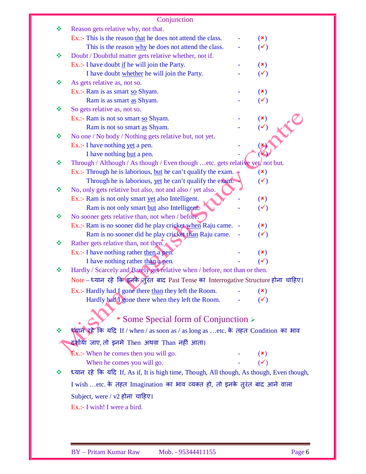|   | Conjunction                                                                                                                              |                                  |
|---|------------------------------------------------------------------------------------------------------------------------------------------|----------------------------------|
| ❖ | Reason gets relative why, not that.                                                                                                      |                                  |
|   | Ex.:- This is the reason that he does not attend the class.                                                                              | $(\mathbf{x})$                   |
|   | This is the reason why he does not attend the class.                                                                                     | $(\checkmark)$                   |
| ❖ | Doubt / Doubtful matter gets relative whether, not if.                                                                                   |                                  |
|   | Ex.:- I have doubt if he will join the Party.                                                                                            | $(\mathbf{x})$                   |
|   | I have doubt whether he will join the Party.                                                                                             | $(\checkmark)$                   |
| ❖ | As gets relative as, not so.                                                                                                             |                                  |
|   | Ex.:- Ram is as smart so Shyam.                                                                                                          | $(\mathbf{x})$                   |
|   | Ram is as smart as Shyam.                                                                                                                | $(\checkmark)$                   |
| ❖ | So gets relative as, not so.                                                                                                             |                                  |
|   | Ex.:- Ram is not so smart so Shyam.                                                                                                      | $(\mathbf{x})$                   |
|   | Ram is not so smart as Shyam.                                                                                                            | $(\checkmark)$                   |
| ❖ | No one / No body / Nothing gets relative but, not yet.                                                                                   |                                  |
|   | Ex.:- I have nothing yet a pen.                                                                                                          |                                  |
|   | I have nothing but a pen.                                                                                                                |                                  |
| ❖ | Through / Although / As though / Even though etc. gets relative yet, not but.                                                            |                                  |
|   | Ex.:- Through he is laborious, but he can't qualify the exam. $\triangleleft$<br>Through he is laborious, yet he can't qualify the exam. | $(\mathbf{x})$<br>$(\checkmark)$ |
| ❖ | No, only gets relative but also, not and also / yet also.                                                                                |                                  |
|   | Ex.:- Ram is not only smart yet also Intelligent.                                                                                        | $(\mathbf{x})$                   |
|   | Ram is not only smart but also Intelligents                                                                                              | $(\checkmark)$                   |
| ❖ | No sooner gets relative than, not when / before.                                                                                         |                                  |
|   | Ex.:- Ram is no sooner did he play cricket when Raju came. -                                                                             | $(\mathbf{x})$                   |
|   | Ram is no sooner did he play cricket than Raju came.                                                                                     | $(\checkmark)$                   |
| ❖ | Rather gets relative than, not then.                                                                                                     |                                  |
|   | Ex.:- I have nothing rather then a pen.                                                                                                  | $(\mathbf{x})$                   |
|   | I have nothing rather than a pen.                                                                                                        | $(\checkmark)$                   |
| ❖ | Hardly / Scarcely and Barely get relative when / before, not than or then.                                                               |                                  |
|   | Note - ध्यान रहे कि इनके) तुरंत बाद Past Tense का Interrogative Structure होना चाहिए।                                                    |                                  |
|   | Ex.:- Hardly had I gone there than they left the Room.                                                                                   | $(\mathbf{x})$                   |
|   | Hardly had <i>I</i> gone there when they left the Room.                                                                                  |                                  |
|   |                                                                                                                                          |                                  |
|   | * Some Special form of Conjunction >                                                                                                     |                                  |
| ❖ | ध्यान रहे कि यदि If / when / as soon as / as long as etc. के तहत Condition का भाव                                                        |                                  |
|   | दर्शाया जाए, तो इनमे Then अथवा Than नहीं आता।                                                                                            |                                  |
|   |                                                                                                                                          |                                  |
|   | $\mathbf{\hat{E}}$ x.:- When he comes then you will go.                                                                                  | $(\mathbf{x})$                   |
|   | When he comes you will go.                                                                                                               | $(\checkmark)$                   |
| ❖ | ध्यान रहे कि यदि If, As if, It is high time, Though, All though, As though, Even though,                                                 |                                  |
|   | I wish  etc. के तहत Imagination का भाव व्यक्त हो, तो इनके तुरंत बाद आने वाला                                                             |                                  |
|   | Subject, were / v2 होना चाहिए।                                                                                                           |                                  |
|   | Ex.:- I wish! I were a bird.                                                                                                             |                                  |
|   |                                                                                                                                          |                                  |